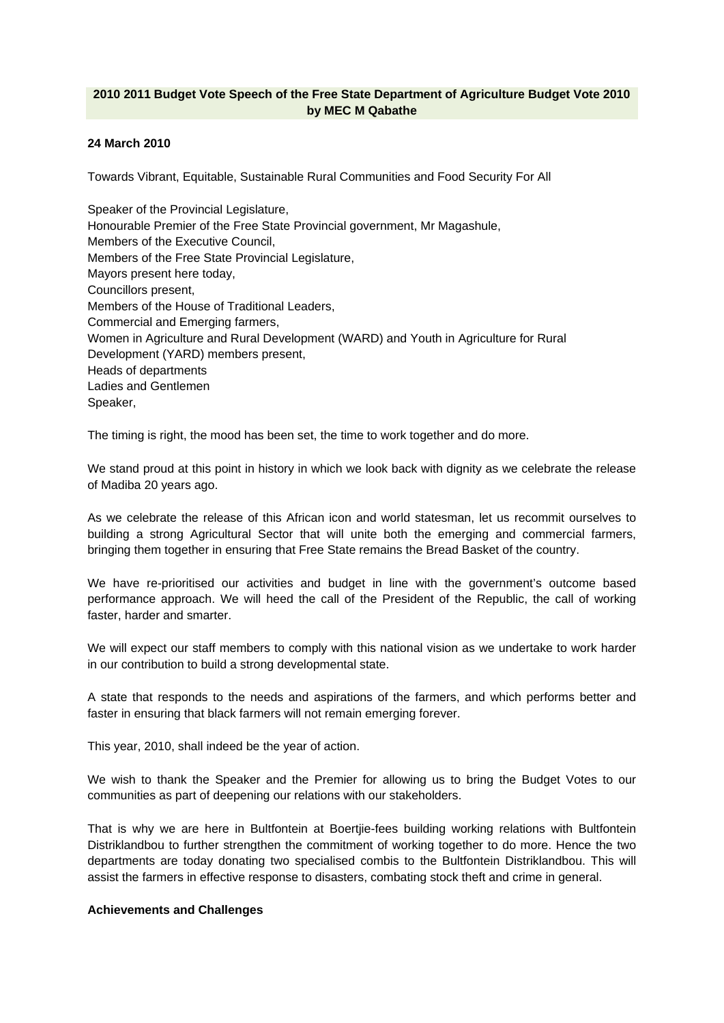# **2010 2011 Budget Vote Speech of the Free State Department of Agriculture Budget Vote 2010 by MEC M Qabathe**

## **24 March 2010**

Towards Vibrant, Equitable, Sustainable Rural Communities and Food Security For All

Speaker of the Provincial Legislature, Honourable Premier of the Free State Provincial government, Mr Magashule, Members of the Executive Council, Members of the Free State Provincial Legislature, Mayors present here today, Councillors present, Members of the House of Traditional Leaders, Commercial and Emerging farmers, Women in Agriculture and Rural Development (WARD) and Youth in Agriculture for Rural Development (YARD) members present, Heads of departments Ladies and Gentlemen Speaker,

The timing is right, the mood has been set, the time to work together and do more.

We stand proud at this point in history in which we look back with dignity as we celebrate the release of Madiba 20 years ago.

As we celebrate the release of this African icon and world statesman, let us recommit ourselves to building a strong Agricultural Sector that will unite both the emerging and commercial farmers, bringing them together in ensuring that Free State remains the Bread Basket of the country.

We have re-prioritised our activities and budget in line with the government's outcome based performance approach. We will heed the call of the President of the Republic, the call of working faster, harder and smarter.

We will expect our staff members to comply with this national vision as we undertake to work harder in our contribution to build a strong developmental state.

A state that responds to the needs and aspirations of the farmers, and which performs better and faster in ensuring that black farmers will not remain emerging forever.

This year, 2010, shall indeed be the year of action.

We wish to thank the Speaker and the Premier for allowing us to bring the Budget Votes to our communities as part of deepening our relations with our stakeholders.

That is why we are here in Bultfontein at Boertjie-fees building working relations with Bultfontein Distriklandbou to further strengthen the commitment of working together to do more. Hence the two departments are today donating two specialised combis to the Bultfontein Distriklandbou. This will assist the farmers in effective response to disasters, combating stock theft and crime in general.

## **Achievements and Challenges**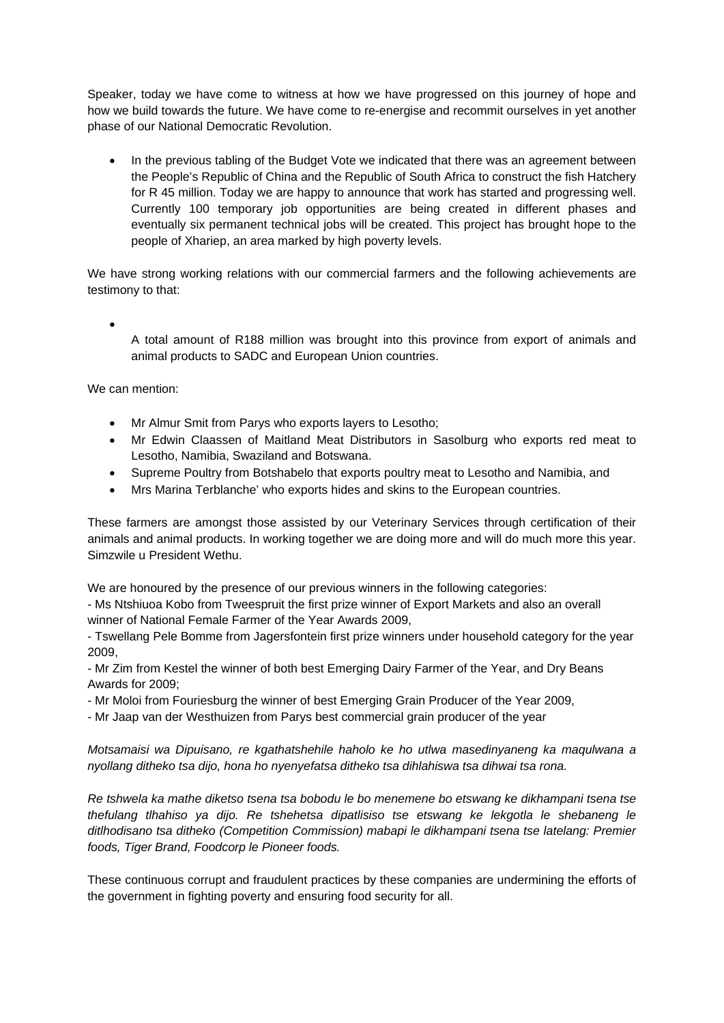Speaker, today we have come to witness at how we have progressed on this journey of hope and how we build towards the future. We have come to re-energise and recommit ourselves in yet another phase of our National Democratic Revolution.

 In the previous tabling of the Budget Vote we indicated that there was an agreement between the People's Republic of China and the Republic of South Africa to construct the fish Hatchery for R 45 million. Today we are happy to announce that work has started and progressing well. Currently 100 temporary job opportunities are being created in different phases and eventually six permanent technical jobs will be created. This project has brought hope to the people of Xhariep, an area marked by high poverty levels.

We have strong working relations with our commercial farmers and the following achievements are testimony to that:

 $\bullet$ A total amount of R188 million was brought into this province from export of animals and animal products to SADC and European Union countries.

We can mention:

- Mr Almur Smit from Parys who exports layers to Lesotho;
- Mr Edwin Claassen of Maitland Meat Distributors in Sasolburg who exports red meat to Lesotho, Namibia, Swaziland and Botswana.
- Supreme Poultry from Botshabelo that exports poultry meat to Lesotho and Namibia, and
- Mrs Marina Terblanche' who exports hides and skins to the European countries.

These farmers are amongst those assisted by our Veterinary Services through certification of their animals and animal products. In working together we are doing more and will do much more this year. Simzwile u President Wethu.

We are honoured by the presence of our previous winners in the following categories:

- Ms Ntshiuoa Kobo from Tweespruit the first prize winner of Export Markets and also an overall winner of National Female Farmer of the Year Awards 2009,

- Tswellang Pele Bomme from Jagersfontein first prize winners under household category for the year 2009,

- Mr Zim from Kestel the winner of both best Emerging Dairy Farmer of the Year, and Dry Beans Awards for 2009;

- Mr Moloi from Fouriesburg the winner of best Emerging Grain Producer of the Year 2009,

- Mr Jaap van der Westhuizen from Parys best commercial grain producer of the year

*Motsamaisi wa Dipuisano, re kgathatshehile haholo ke ho utlwa masedinyaneng ka maqulwana a nyollang ditheko tsa dijo, hona ho nyenyefatsa ditheko tsa dihlahiswa tsa dihwai tsa rona.* 

*Re tshwela ka mathe diketso tsena tsa bobodu le bo menemene bo etswang ke dikhampani tsena tse thefulang tlhahiso ya dijo. Re tshehetsa dipatlisiso tse etswang ke lekgotla le shebaneng le ditlhodisano tsa ditheko (Competition Commission) mabapi le dikhampani tsena tse latelang: Premier foods, Tiger Brand, Foodcorp le Pioneer foods.* 

These continuous corrupt and fraudulent practices by these companies are undermining the efforts of the government in fighting poverty and ensuring food security for all.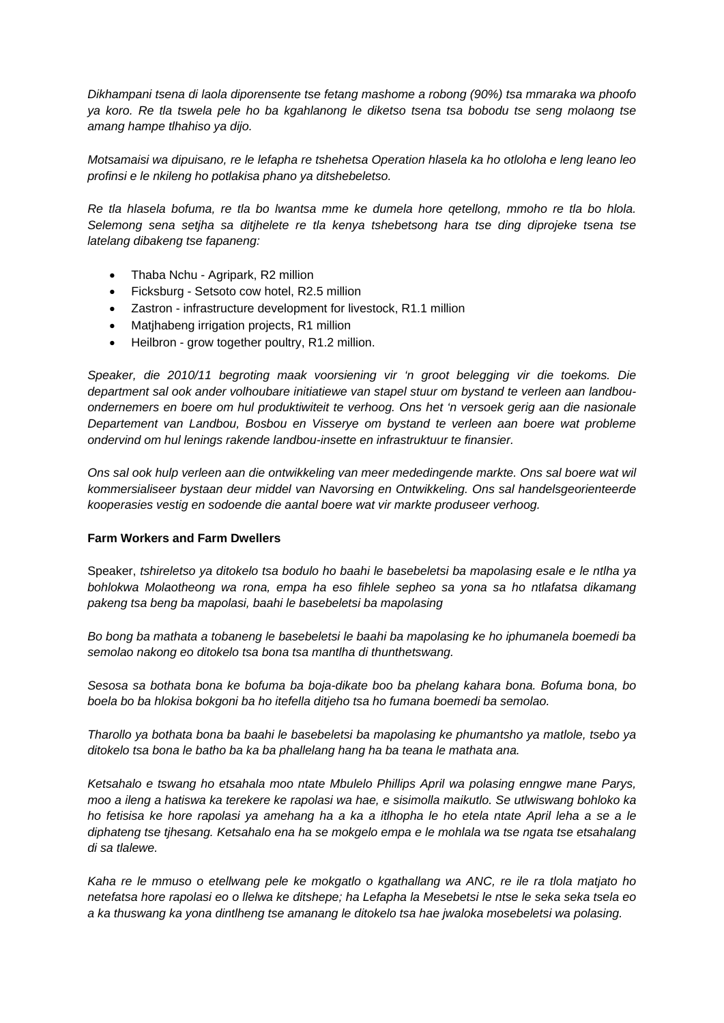*Dikhampani tsena di laola diporensente tse fetang mashome a robong (90%) tsa mmaraka wa phoofo ya koro. Re tla tswela pele ho ba kgahlanong le diketso tsena tsa bobodu tse seng molaong tse amang hampe tlhahiso ya dijo.* 

*Motsamaisi wa dipuisano, re le lefapha re tshehetsa Operation hlasela ka ho otloloha e leng leano leo profinsi e le nkileng ho potlakisa phano ya ditshebeletso.* 

*Re tla hlasela bofuma, re tla bo lwantsa mme ke dumela hore qetellong, mmoho re tla bo hlola. Selemong sena setjha sa ditjhelete re tla kenya tshebetsong hara tse ding diprojeke tsena tse latelang dibakeng tse fapaneng:* 

- Thaba Nchu Agripark, R2 million
- Ficksburg Setsoto cow hotel, R2.5 million
- Zastron infrastructure development for livestock, R1.1 million
- Matjhabeng irrigation projects, R1 million
- Heilbron grow together poultry, R1.2 million.

*Speaker, die 2010/11 begroting maak voorsiening vir 'n groot belegging vir die toekoms. Die department sal ook ander volhoubare initiatiewe van stapel stuur om bystand te verleen aan landbouondernemers en boere om hul produktiwiteit te verhoog. Ons het 'n versoek gerig aan die nasionale Departement van Landbou, Bosbou en Visserye om bystand te verleen aan boere wat probleme ondervind om hul lenings rakende landbou-insette en infrastruktuur te finansier.* 

*Ons sal ook hulp verleen aan die ontwikkeling van meer mededingende markte. Ons sal boere wat wil kommersialiseer bystaan deur middel van Navorsing en Ontwikkeling. Ons sal handelsgeorienteerde kooperasies vestig en sodoende die aantal boere wat vir markte produseer verhoog.* 

## **Farm Workers and Farm Dwellers**

Speaker, *tshireletso ya ditokelo tsa bodulo ho baahi le basebeletsi ba mapolasing esale e le ntlha ya bohlokwa Molaotheong wa rona, empa ha eso fihlele sepheo sa yona sa ho ntlafatsa dikamang pakeng tsa beng ba mapolasi, baahi le basebeletsi ba mapolasing* 

*Bo bong ba mathata a tobaneng le basebeletsi le baahi ba mapolasing ke ho iphumanela boemedi ba semolao nakong eo ditokelo tsa bona tsa mantlha di thunthetswang.* 

*Sesosa sa bothata bona ke bofuma ba boja-dikate boo ba phelang kahara bona. Bofuma bona, bo boela bo ba hlokisa bokgoni ba ho itefella ditjeho tsa ho fumana boemedi ba semolao.* 

*Tharollo ya bothata bona ba baahi le basebeletsi ba mapolasing ke phumantsho ya matlole, tsebo ya ditokelo tsa bona le batho ba ka ba phallelang hang ha ba teana le mathata ana.* 

*Ketsahalo e tswang ho etsahala moo ntate Mbulelo Phillips April wa polasing enngwe mane Parys, moo a ileng a hatiswa ka terekere ke rapolasi wa hae, e sisimolla maikutlo. Se utlwiswang bohloko ka ho fetisisa ke hore rapolasi ya amehang ha a ka a itlhopha le ho etela ntate April leha a se a le diphateng tse tjhesang. Ketsahalo ena ha se mokgelo empa e le mohlala wa tse ngata tse etsahalang di sa tlalewe.* 

*Kaha re le mmuso o etellwang pele ke mokgatlo o kgathallang wa ANC, re ile ra tlola matjato ho netefatsa hore rapolasi eo o llelwa ke ditshepe; ha Lefapha la Mesebetsi le ntse le seka seka tsela eo a ka thuswang ka yona dintlheng tse amanang le ditokelo tsa hae jwaloka mosebeletsi wa polasing.*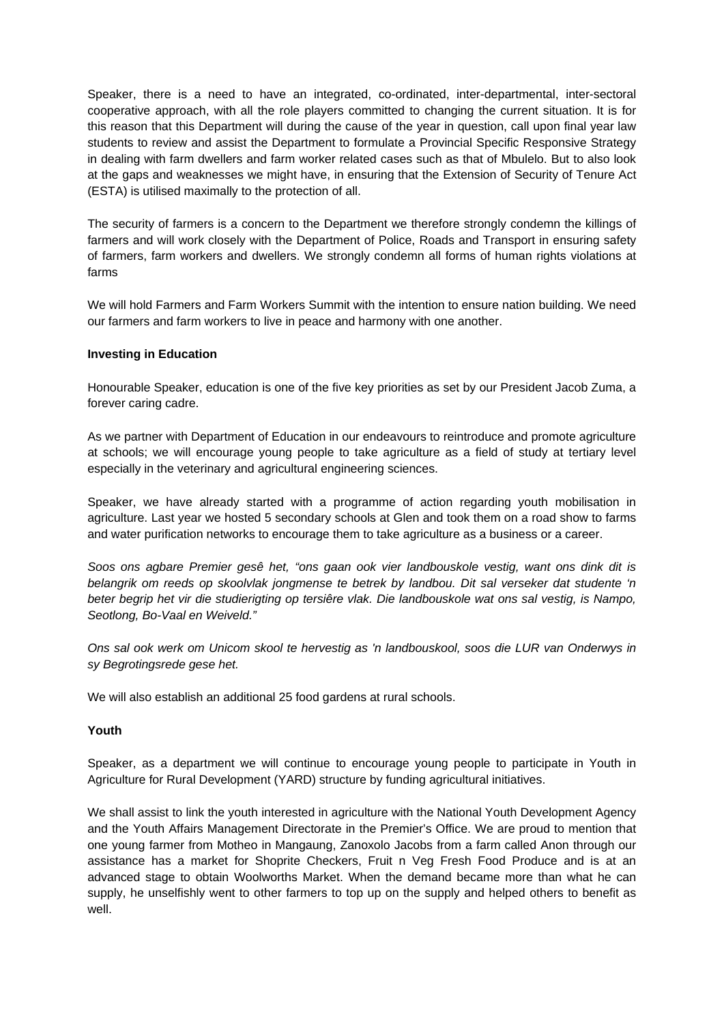Speaker, there is a need to have an integrated, co-ordinated, inter-departmental, inter-sectoral cooperative approach, with all the role players committed to changing the current situation. It is for this reason that this Department will during the cause of the year in question, call upon final year law students to review and assist the Department to formulate a Provincial Specific Responsive Strategy in dealing with farm dwellers and farm worker related cases such as that of Mbulelo. But to also look at the gaps and weaknesses we might have, in ensuring that the Extension of Security of Tenure Act (ESTA) is utilised maximally to the protection of all.

The security of farmers is a concern to the Department we therefore strongly condemn the killings of farmers and will work closely with the Department of Police, Roads and Transport in ensuring safety of farmers, farm workers and dwellers. We strongly condemn all forms of human rights violations at farms

We will hold Farmers and Farm Workers Summit with the intention to ensure nation building. We need our farmers and farm workers to live in peace and harmony with one another.

#### **Investing in Education**

Honourable Speaker, education is one of the five key priorities as set by our President Jacob Zuma, a forever caring cadre.

As we partner with Department of Education in our endeavours to reintroduce and promote agriculture at schools; we will encourage young people to take agriculture as a field of study at tertiary level especially in the veterinary and agricultural engineering sciences.

Speaker, we have already started with a programme of action regarding youth mobilisation in agriculture. Last year we hosted 5 secondary schools at Glen and took them on a road show to farms and water purification networks to encourage them to take agriculture as a business or a career.

*Soos ons agbare Premier gesê het, "ons gaan ook vier landbouskole vestig, want ons dink dit is belangrik om reeds op skoolvlak jongmense te betrek by landbou. Dit sal verseker dat studente 'n beter begrip het vir die studierigting op tersiêre vlak. Die landbouskole wat ons sal vestig, is Nampo, Seotlong, Bo-Vaal en Weiveld."* 

*Ons sal ook werk om Unicom skool te hervestig as 'n landbouskool, soos die LUR van Onderwys in sy Begrotingsrede gese het.* 

We will also establish an additional 25 food gardens at rural schools.

#### **Youth**

Speaker, as a department we will continue to encourage young people to participate in Youth in Agriculture for Rural Development (YARD) structure by funding agricultural initiatives.

We shall assist to link the youth interested in agriculture with the National Youth Development Agency and the Youth Affairs Management Directorate in the Premier's Office. We are proud to mention that one young farmer from Motheo in Mangaung, Zanoxolo Jacobs from a farm called Anon through our assistance has a market for Shoprite Checkers, Fruit n Veg Fresh Food Produce and is at an advanced stage to obtain Woolworths Market. When the demand became more than what he can supply, he unselfishly went to other farmers to top up on the supply and helped others to benefit as well.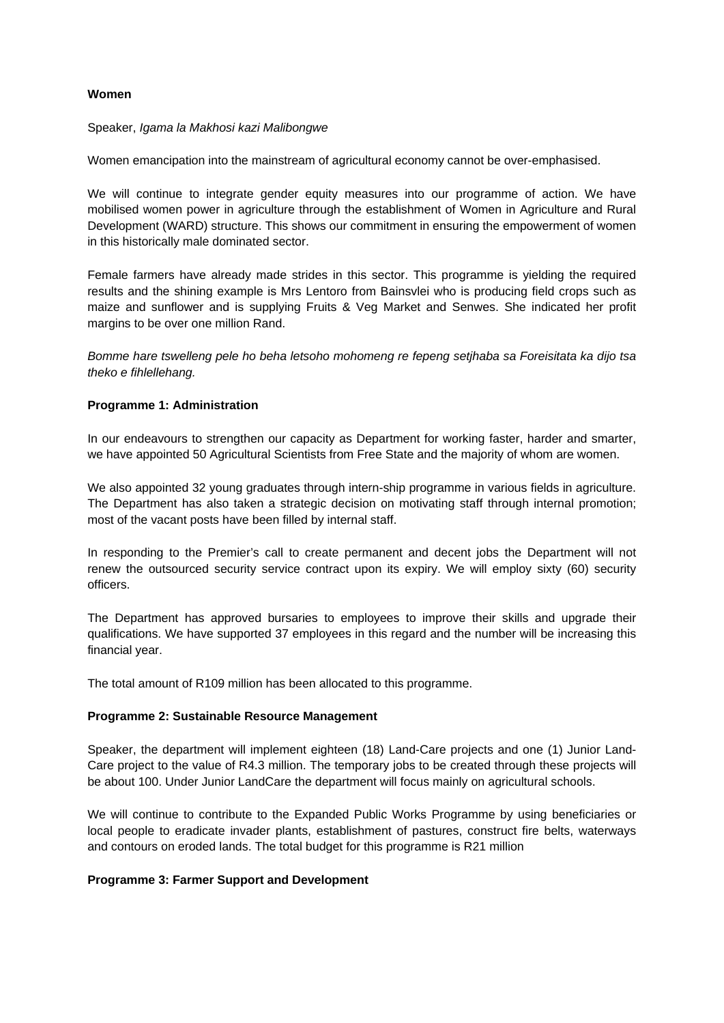## **Women**

#### Speaker, *Igama la Makhosi kazi Malibongwe*

Women emancipation into the mainstream of agricultural economy cannot be over-emphasised.

We will continue to integrate gender equity measures into our programme of action. We have mobilised women power in agriculture through the establishment of Women in Agriculture and Rural Development (WARD) structure. This shows our commitment in ensuring the empowerment of women in this historically male dominated sector.

Female farmers have already made strides in this sector. This programme is yielding the required results and the shining example is Mrs Lentoro from Bainsvlei who is producing field crops such as maize and sunflower and is supplying Fruits & Veg Market and Senwes. She indicated her profit margins to be over one million Rand.

*Bomme hare tswelleng pele ho beha letsoho mohomeng re fepeng setjhaba sa Foreisitata ka dijo tsa theko e fihlellehang.* 

## **Programme 1: Administration**

In our endeavours to strengthen our capacity as Department for working faster, harder and smarter, we have appointed 50 Agricultural Scientists from Free State and the majority of whom are women.

We also appointed 32 young graduates through intern-ship programme in various fields in agriculture. The Department has also taken a strategic decision on motivating staff through internal promotion; most of the vacant posts have been filled by internal staff.

In responding to the Premier's call to create permanent and decent jobs the Department will not renew the outsourced security service contract upon its expiry. We will employ sixty (60) security officers.

The Department has approved bursaries to employees to improve their skills and upgrade their qualifications. We have supported 37 employees in this regard and the number will be increasing this financial year.

The total amount of R109 million has been allocated to this programme.

## **Programme 2: Sustainable Resource Management**

Speaker, the department will implement eighteen (18) Land-Care projects and one (1) Junior Land-Care project to the value of R4.3 million. The temporary jobs to be created through these projects will be about 100. Under Junior LandCare the department will focus mainly on agricultural schools.

We will continue to contribute to the Expanded Public Works Programme by using beneficiaries or local people to eradicate invader plants, establishment of pastures, construct fire belts, waterways and contours on eroded lands. The total budget for this programme is R21 million

## **Programme 3: Farmer Support and Development**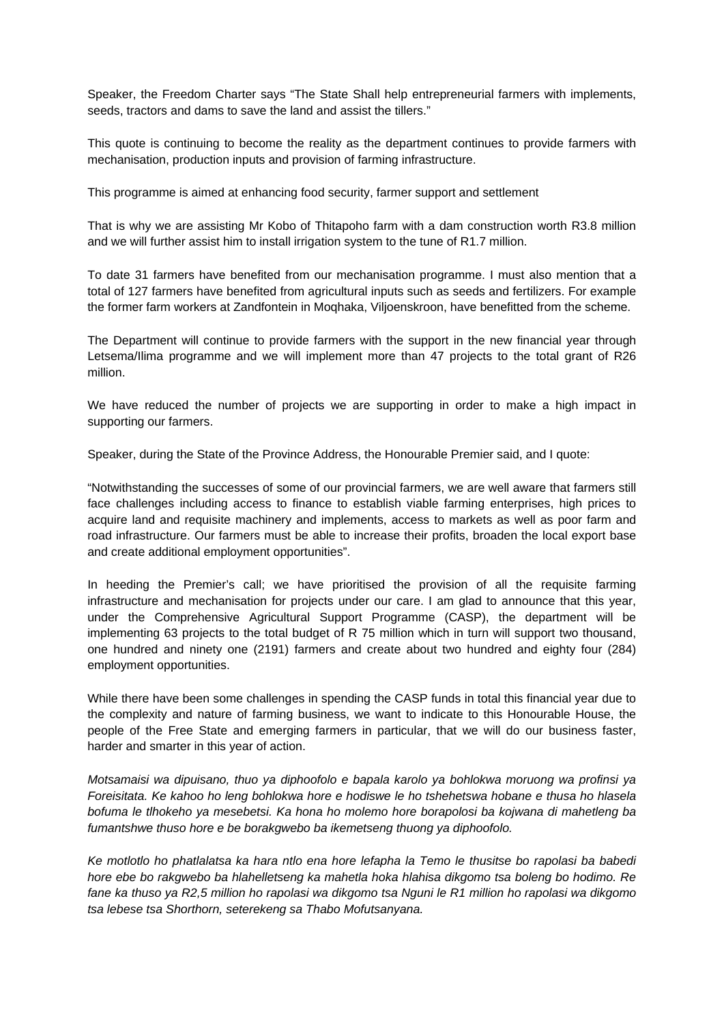Speaker, the Freedom Charter says "The State Shall help entrepreneurial farmers with implements, seeds, tractors and dams to save the land and assist the tillers."

This quote is continuing to become the reality as the department continues to provide farmers with mechanisation, production inputs and provision of farming infrastructure.

This programme is aimed at enhancing food security, farmer support and settlement

That is why we are assisting Mr Kobo of Thitapoho farm with a dam construction worth R3.8 million and we will further assist him to install irrigation system to the tune of R1.7 million.

To date 31 farmers have benefited from our mechanisation programme. I must also mention that a total of 127 farmers have benefited from agricultural inputs such as seeds and fertilizers. For example the former farm workers at Zandfontein in Moqhaka, Viljoenskroon, have benefitted from the scheme.

The Department will continue to provide farmers with the support in the new financial year through Letsema/Ilima programme and we will implement more than 47 projects to the total grant of R26 million.

We have reduced the number of projects we are supporting in order to make a high impact in supporting our farmers.

Speaker, during the State of the Province Address, the Honourable Premier said, and I quote:

"Notwithstanding the successes of some of our provincial farmers, we are well aware that farmers still face challenges including access to finance to establish viable farming enterprises, high prices to acquire land and requisite machinery and implements, access to markets as well as poor farm and road infrastructure. Our farmers must be able to increase their profits, broaden the local export base and create additional employment opportunities".

In heeding the Premier's call; we have prioritised the provision of all the requisite farming infrastructure and mechanisation for projects under our care. I am glad to announce that this year, under the Comprehensive Agricultural Support Programme (CASP), the department will be implementing 63 projects to the total budget of R 75 million which in turn will support two thousand, one hundred and ninety one (2191) farmers and create about two hundred and eighty four (284) employment opportunities.

While there have been some challenges in spending the CASP funds in total this financial year due to the complexity and nature of farming business, we want to indicate to this Honourable House, the people of the Free State and emerging farmers in particular, that we will do our business faster, harder and smarter in this year of action.

*Motsamaisi wa dipuisano, thuo ya diphoofolo e bapala karolo ya bohlokwa moruong wa profinsi ya Foreisitata. Ke kahoo ho leng bohlokwa hore e hodiswe le ho tshehetswa hobane e thusa ho hlasela bofuma le tlhokeho ya mesebetsi. Ka hona ho molemo hore borapolosi ba kojwana di mahetleng ba fumantshwe thuso hore e be borakgwebo ba ikemetseng thuong ya diphoofolo.* 

*Ke motlotlo ho phatlalatsa ka hara ntlo ena hore lefapha la Temo le thusitse bo rapolasi ba babedi hore ebe bo rakgwebo ba hlahelletseng ka mahetla hoka hlahisa dikgomo tsa boleng bo hodimo. Re fane ka thuso ya R2,5 million ho rapolasi wa dikgomo tsa Nguni le R1 million ho rapolasi wa dikgomo tsa lebese tsa Shorthorn, seterekeng sa Thabo Mofutsanyana.*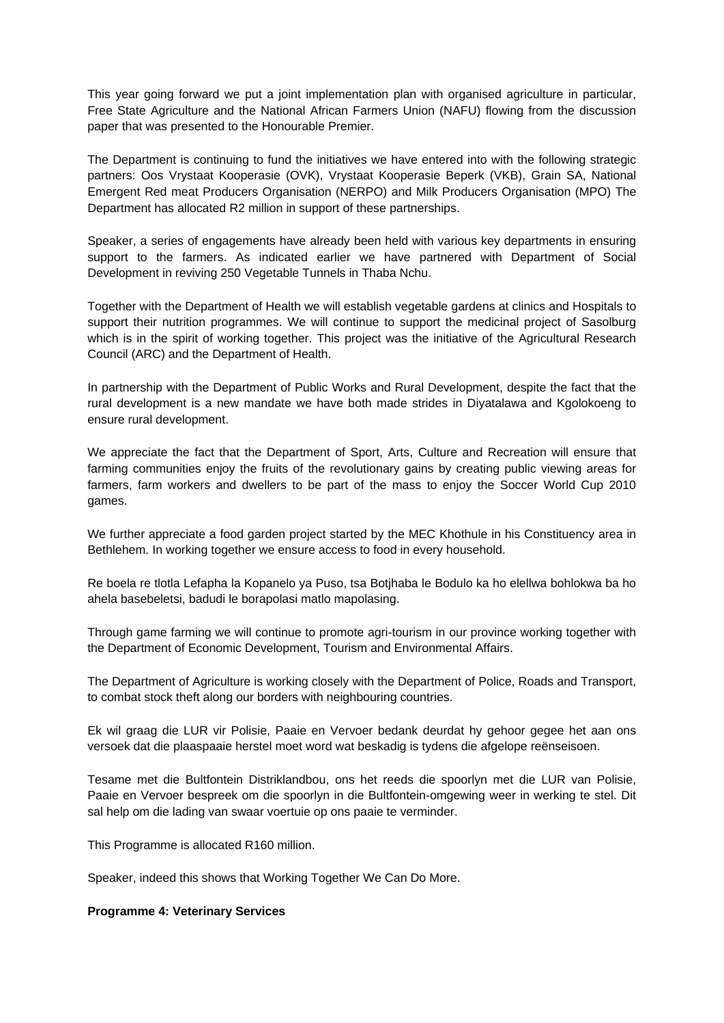This year going forward we put a joint implementation plan with organised agriculture in particular, Free State Agriculture and the National African Farmers Union (NAFU) flowing from the discussion paper that was presented to the Honourable Premier.

The Department is continuing to fund the initiatives we have entered into with the following strategic partners: Oos Vrystaat Kooperasie (OVK), Vrystaat Kooperasie Beperk (VKB), Grain SA, National Emergent Red meat Producers Organisation (NERPO) and Milk Producers Organisation (MPO) The Department has allocated R2 million in support of these partnerships.

Speaker, a series of engagements have already been held with various key departments in ensuring support to the farmers. As indicated earlier we have partnered with Department of Social Development in reviving 250 Vegetable Tunnels in Thaba Nchu.

Together with the Department of Health we will establish vegetable gardens at clinics and Hospitals to support their nutrition programmes. We will continue to support the medicinal project of Sasolburg which is in the spirit of working together. This project was the initiative of the Agricultural Research Council (ARC) and the Department of Health.

In partnership with the Department of Public Works and Rural Development, despite the fact that the rural development is a new mandate we have both made strides in Diyatalawa and Kgolokoeng to ensure rural development.

We appreciate the fact that the Department of Sport, Arts, Culture and Recreation will ensure that farming communities enjoy the fruits of the revolutionary gains by creating public viewing areas for farmers, farm workers and dwellers to be part of the mass to enjoy the Soccer World Cup 2010 games.

We further appreciate a food garden project started by the MEC Khothule in his Constituency area in Bethlehem. In working together we ensure access to food in every household.

Re boela re tlotla Lefapha la Kopanelo ya Puso, tsa Botjhaba le Bodulo ka ho elellwa bohlokwa ba ho ahela basebeletsi, badudi le borapolasi matlo mapolasing.

Through game farming we will continue to promote agri-tourism in our province working together with the Department of Economic Development, Tourism and Environmental Affairs.

The Department of Agriculture is working closely with the Department of Police, Roads and Transport, to combat stock theft along our borders with neighbouring countries.

Ek wil graag die LUR vir Polisie, Paaie en Vervoer bedank deurdat hy gehoor gegee het aan ons versoek dat die plaaspaaie herstel moet word wat beskadig is tydens die afgelope reënseisoen.

Tesame met die Bultfontein Distriklandbou, ons het reeds die spoorlyn met die LUR van Polisie, Paaie en Vervoer bespreek om die spoorlyn in die Bultfontein-omgewing weer in werking te stel. Dit sal help om die lading van swaar voertuie op ons paaie te verminder.

This Programme is allocated R160 million.

Speaker, indeed this shows that Working Together We Can Do More.

#### **Programme 4: Veterinary Services**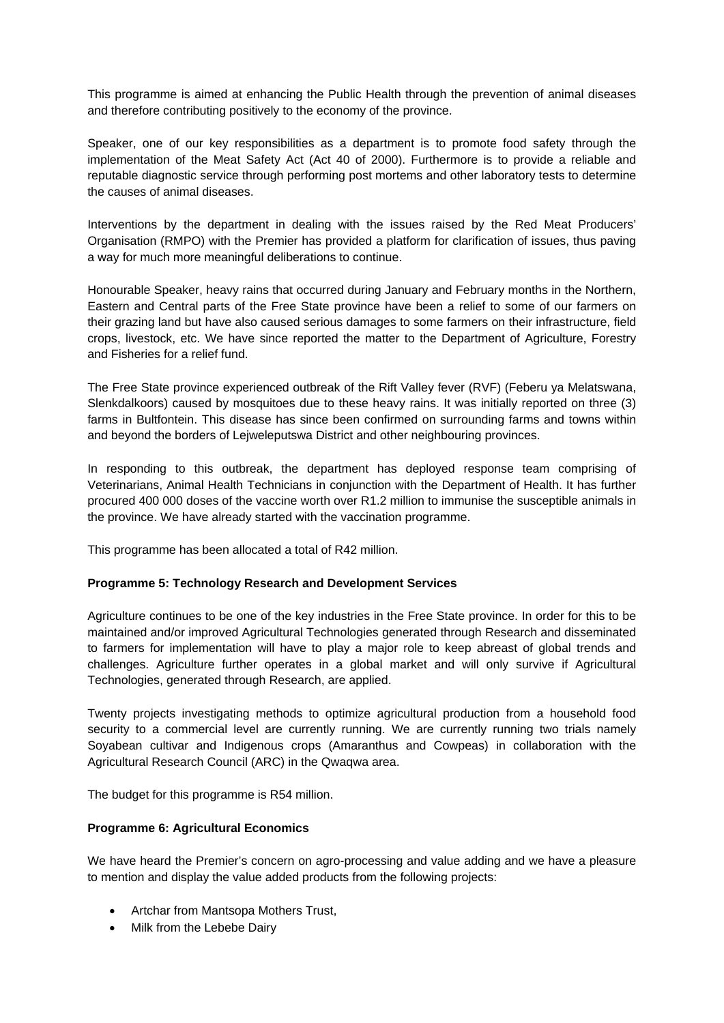This programme is aimed at enhancing the Public Health through the prevention of animal diseases and therefore contributing positively to the economy of the province.

Speaker, one of our key responsibilities as a department is to promote food safety through the implementation of the Meat Safety Act (Act 40 of 2000). Furthermore is to provide a reliable and reputable diagnostic service through performing post mortems and other laboratory tests to determine the causes of animal diseases.

Interventions by the department in dealing with the issues raised by the Red Meat Producers' Organisation (RMPO) with the Premier has provided a platform for clarification of issues, thus paving a way for much more meaningful deliberations to continue.

Honourable Speaker, heavy rains that occurred during January and February months in the Northern, Eastern and Central parts of the Free State province have been a relief to some of our farmers on their grazing land but have also caused serious damages to some farmers on their infrastructure, field crops, livestock, etc. We have since reported the matter to the Department of Agriculture, Forestry and Fisheries for a relief fund.

The Free State province experienced outbreak of the Rift Valley fever (RVF) (Feberu ya Melatswana, Slenkdalkoors) caused by mosquitoes due to these heavy rains. It was initially reported on three (3) farms in Bultfontein. This disease has since been confirmed on surrounding farms and towns within and beyond the borders of Lejweleputswa District and other neighbouring provinces.

In responding to this outbreak, the department has deployed response team comprising of Veterinarians, Animal Health Technicians in conjunction with the Department of Health. It has further procured 400 000 doses of the vaccine worth over R1.2 million to immunise the susceptible animals in the province. We have already started with the vaccination programme.

This programme has been allocated a total of R42 million.

## **Programme 5: Technology Research and Development Services**

Agriculture continues to be one of the key industries in the Free State province. In order for this to be maintained and/or improved Agricultural Technologies generated through Research and disseminated to farmers for implementation will have to play a major role to keep abreast of global trends and challenges. Agriculture further operates in a global market and will only survive if Agricultural Technologies, generated through Research, are applied.

Twenty projects investigating methods to optimize agricultural production from a household food security to a commercial level are currently running. We are currently running two trials namely Soyabean cultivar and Indigenous crops (Amaranthus and Cowpeas) in collaboration with the Agricultural Research Council (ARC) in the Qwaqwa area.

The budget for this programme is R54 million.

## **Programme 6: Agricultural Economics**

We have heard the Premier's concern on agro-processing and value adding and we have a pleasure to mention and display the value added products from the following projects:

- Artchar from Mantsopa Mothers Trust,
- Milk from the Lebebe Dairy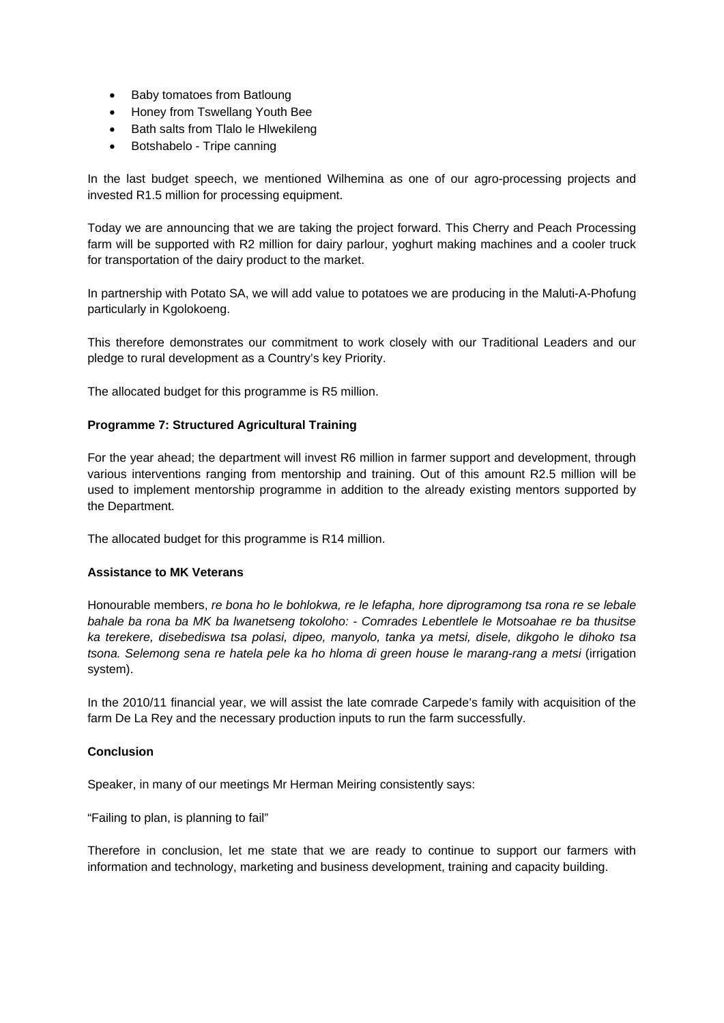- Baby tomatoes from Batloung
- Honey from Tswellang Youth Bee
- Bath salts from Tlalo le Hlwekileng
- Botshabelo Tripe canning

In the last budget speech, we mentioned Wilhemina as one of our agro-processing projects and invested R1.5 million for processing equipment.

Today we are announcing that we are taking the project forward. This Cherry and Peach Processing farm will be supported with R2 million for dairy parlour, yoghurt making machines and a cooler truck for transportation of the dairy product to the market.

In partnership with Potato SA, we will add value to potatoes we are producing in the Maluti-A-Phofung particularly in Kgolokoeng.

This therefore demonstrates our commitment to work closely with our Traditional Leaders and our pledge to rural development as a Country's key Priority.

The allocated budget for this programme is R5 million.

#### **Programme 7: Structured Agricultural Training**

For the year ahead; the department will invest R6 million in farmer support and development, through various interventions ranging from mentorship and training. Out of this amount R2.5 million will be used to implement mentorship programme in addition to the already existing mentors supported by the Department.

The allocated budget for this programme is R14 million.

## **Assistance to MK Veterans**

Honourable members, *re bona ho le bohlokwa, re le lefapha, hore diprogramong tsa rona re se lebale bahale ba rona ba MK ba lwanetseng tokoloho: - Comrades Lebentlele le Motsoahae re ba thusitse ka terekere, disebediswa tsa polasi, dipeo, manyolo, tanka ya metsi, disele, dikgoho le dihoko tsa tsona. Selemong sena re hatela pele ka ho hloma di green house le marang-rang a metsi* (irrigation system).

In the 2010/11 financial year, we will assist the late comrade Carpede's family with acquisition of the farm De La Rey and the necessary production inputs to run the farm successfully.

## **Conclusion**

Speaker, in many of our meetings Mr Herman Meiring consistently says:

"Failing to plan, is planning to fail"

Therefore in conclusion, let me state that we are ready to continue to support our farmers with information and technology, marketing and business development, training and capacity building.